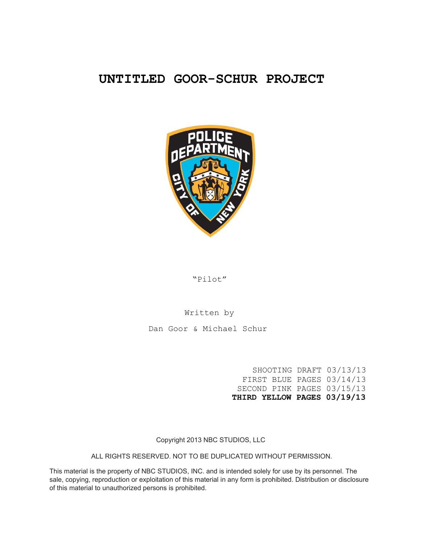# **UNTITLED GOOR-SCHUR PROJECT**



"Pilot"

# Written by

Dan Goor & Michael Schur

SHOOTING DRAFT 03/13/13 FIRST BLUE PAGES 03/14/13 SECOND PINK PAGES 03/15/13 **THIRD YELLOW PAGES 03/19/13**

Copyright 2013 NBC STUDIOS, LLC

ALL RIGHTS RESERVED. NOT TO BE DUPLICATED WITHOUT PERMISSION.

This material is the property of NBC STUDIOS, INC. and is intended solely for use by its personnel. The sale, copying, reproduction or exploitation of this material in any form is prohibited. Distribution or disclosure of this material to unauthorized persons is prohibited.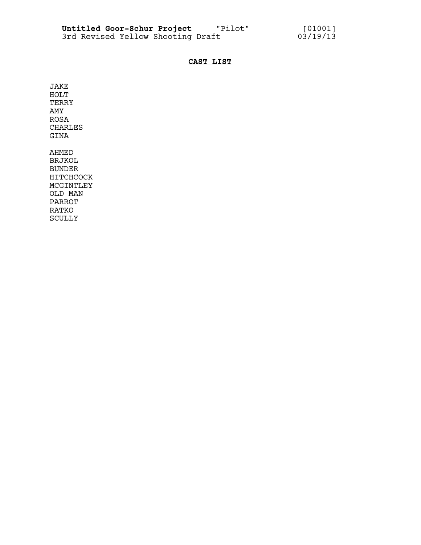# **CAST LIST**

JAKE HOLT TERRY AMY ROSA CHARLES GINA

AHMED BRJKOL BUNDER HITCHCOCK MCGINTLEY OLD MAN PARROT RATKO SCULLY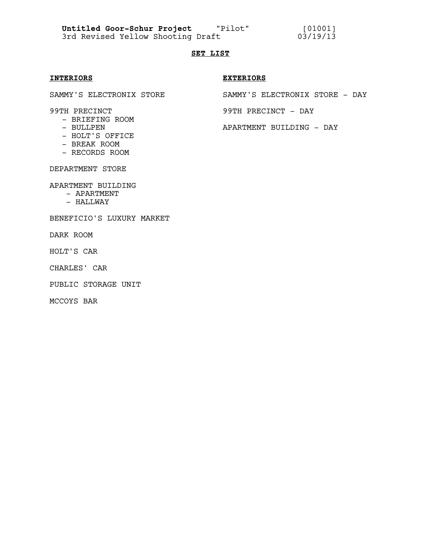**Untitled Goor-Schur Project** "Pilot" [01001]

3rd Revised Yellow Shooting Draft 03/19/13

# **SET LIST**

- BRIEFING ROOM
- 
- HOLT'S OFFICE
- BREAK ROOM
- RECORDS ROOM

DEPARTMENT STORE

APARTMENT BUILDING

- APARTMENT
- HALLWAY

#### BENEFICIO'S LUXURY MARKET

DARK ROOM

HOLT'S CAR

CHARLES' CAR

PUBLIC STORAGE UNIT

MCCOYS BAR

#### **INTERIORS EXTERIORS**

SAMMY'S ELECTRONIX STORE SAMMY'S ELECTRONIX STORE - DAY

99TH PRECINCT 39TH PRECINCT - DAY

- BULLPEN APARTMENT BUILDING - DAY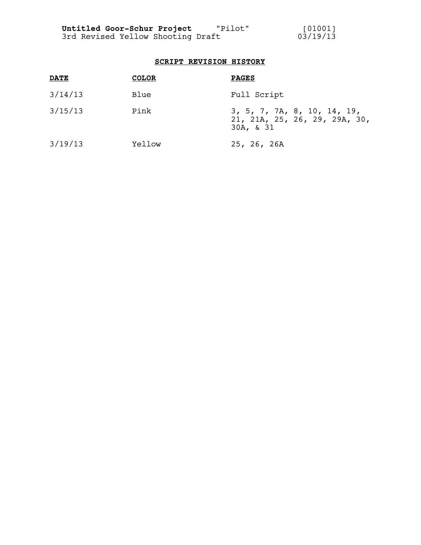# **SCRIPT REVISION HISTORY**

| <b>DATE</b> | <b>COLOR</b> | <b>PAGES</b>                                                              |
|-------------|--------------|---------------------------------------------------------------------------|
| 3/14/13     | Blue         | Full Script                                                               |
| 3/15/13     | Pink         | 3, 5, 7, 7A, 8, 10, 14, 19,<br>21, 21A, 25, 26, 29, 29A, 30,<br>30A, & 31 |
| 3/19/13     | Yellow       | 25, 26, 26A                                                               |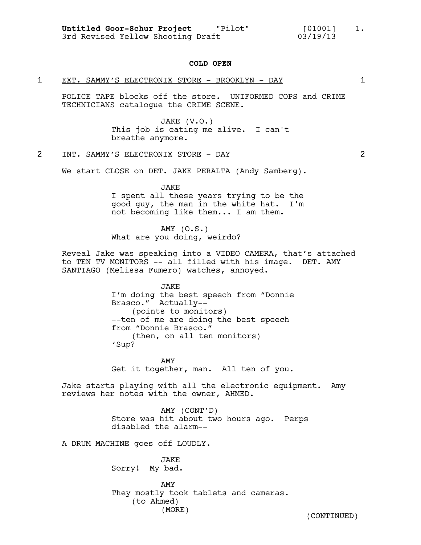#### **COLD OPEN**

#### 1 EXT. SAMMY'S ELECTRONIX STORE - BROOKLYN - DAY 1

POLICE TAPE blocks off the store. UNIFORMED COPS and CRIME TECHNICIANS catalogue the CRIME SCENE.

> JAKE (V.O.) This job is eating me alive. I can't breathe anymore.

#### 2 INT. SAMMY'S ELECTRONIX STORE - DAY 2

We start CLOSE on DET. JAKE PERALTA (Andy Samberg).

JAKE

I spent all these years trying to be the good guy, the man in the white hat. I'm not becoming like them... I am them.

AMY (O.S.) What are you doing, weirdo?

Reveal Jake was speaking into a VIDEO CAMERA, that's attached to TEN TV MONITORS -- all filled with his image. DET. AMY SANTIAGO (Melissa Fumero) watches, annoyed.

> JAKE I'm doing the best speech from "Donnie Brasco." Actually-- (points to monitors) --ten of me are doing the best speech from "Donnie Brasco." (then, on all ten monitors) 'Sup?

> AMY Get it together, man. All ten of you.

Jake starts playing with all the electronic equipment. Amy reviews her notes with the owner, AHMED.

> AMY (CONT'D) Store was hit about two hours ago. Perps disabled the alarm--

A DRUM MACHINE goes off LOUDLY.

JAKE Sorry! My bad.

AMY They mostly took tablets and cameras. (to Ahmed) (MORE) (CONTINUED)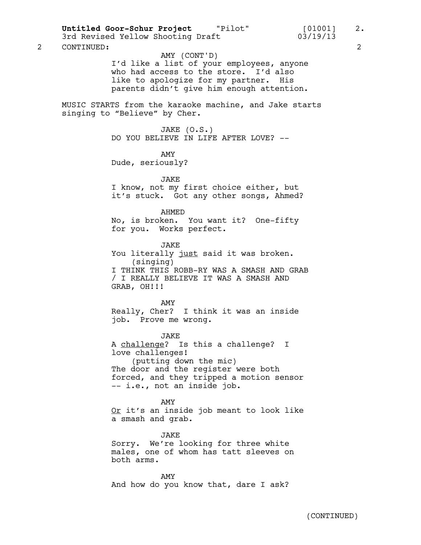Untitled Goor-Schur Project "Pilot" [01001] 2.<br>3rd Revised Yellow Shooting Draft 03/19/13

2 CONTINUED: 2

#### AMY (CONT'D)

I'd like a list of your employees, anyone who had access to the store. I'd also like to apologize for my partner. His parents didn't give him enough attention.

MUSIC STARTS from the karaoke machine, and Jake starts singing to "Believe" by Cher.

> JAKE (O.S.) DO YOU BELIEVE IN LIFE AFTER LOVE? --

> > AMY

Dude, seriously?

JAKE

I know, not my first choice either, but it's stuck. Got any other songs, Ahmed?

#### AHMED

No, is broken. You want it? One-fifty for you. Works perfect.

JAKE

You literally just said it was broken. (singing) I THINK THIS ROBB-RY WAS A SMASH AND GRAB / I REALLY BELIEVE IT WAS A SMASH AND GRAB, OH!!!

#### AMY

Really, Cher? I think it was an inside job. Prove me wrong.

JAKE

A challenge? Is this a challenge? I love challenges! (putting down the mic) The door and the register were both forced, and they tripped a motion sensor -- i.e., not an inside job.

AMY Or it's an inside job meant to look like a smash and grab.

JAKE Sorry. We're looking for three white males, one of whom has tatt sleeves on both arms.

AMY And how do you know that, dare I ask?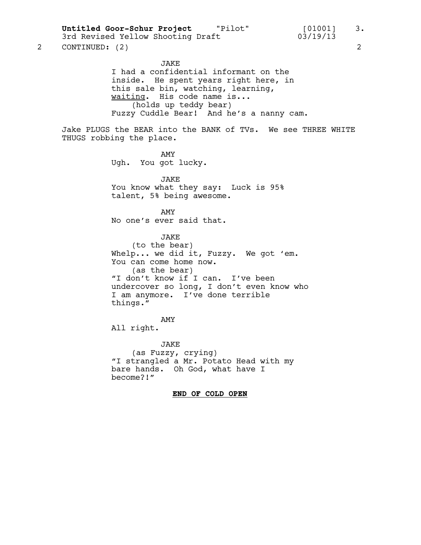**Untitled Goor-Schur Project** "Pilot" [01001] 3.

3rd Revised Yellow Shooting Draft 03/19/13

2 CONTINUED: (2) 2

JAKE I had a confidential informant on the inside. He spent years right here, in this sale bin, watching, learning, waiting. His code name is... (holds up teddy bear) Fuzzy Cuddle Bear! And he's a nanny cam.

Jake PLUGS the BEAR into the BANK of TVs. We see THREE WHITE THUGS robbing the place.

> AMY Ugh. You got lucky.

JAKE You know what they say: Luck is 95% talent, 5% being awesome.

AMY No one's ever said that.

JAKE (to the bear) Whelp... we did it, Fuzzy. We got 'em. You can come home now. (as the bear) "I don't know if I can. I've been undercover so long, I don't even know who I am anymore. I've done terrible things."

AMY All right.

JAKE (as Fuzzy, crying) "I strangled a Mr. Potato Head with my bare hands. Oh God, what have I become?!"

#### **END OF COLD OPEN**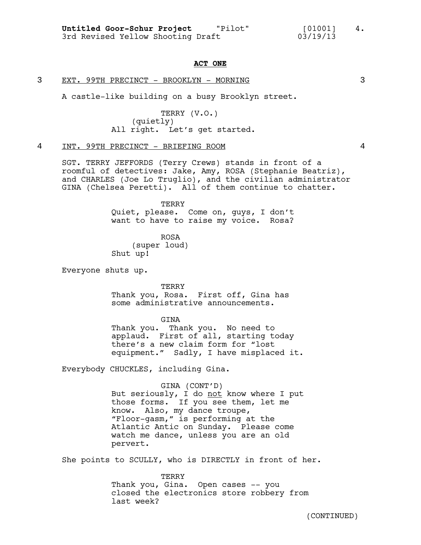#### **ACT ONE**

#### 3 EXT. 99TH PRECINCT - BROOKLYN - MORNING 3

A castle-like building on a busy Brooklyn street.

TERRY (V.O.) (quietly) All right. Let's get started.

#### 4 INT. 99TH PRECINCT - BRIEFING ROOM 4

SGT. TERRY JEFFORDS (Terry Crews) stands in front of a roomful of detectives: Jake, Amy, ROSA (Stephanie Beatriz), and CHARLES (Joe Lo Truglio), and the civilian administrator GINA (Chelsea Peretti). All of them continue to chatter.

> TERRY Quiet, please. Come on, guys, I don't want to have to raise my voice. Rosa?

ROSA (super loud) Shut up!

Everyone shuts up.

TERRY Thank you, Rosa. First off, Gina has some administrative announcements.

GINA

Thank you. Thank you. No need to applaud. First of all, starting today there's a new claim form for "lost equipment." Sadly, I have misplaced it.

Everybody CHUCKLES, including Gina.

GINA (CONT'D) But seriously, I do not know where I put those forms. If you see them, let me know. Also, my dance troupe, "Floor-gasm," is performing at the Atlantic Antic on Sunday. Please come watch me dance, unless you are an old pervert.

She points to SCULLY, who is DIRECTLY in front of her.

TERRY Thank you, Gina. Open cases -- you closed the electronics store robbery from last week?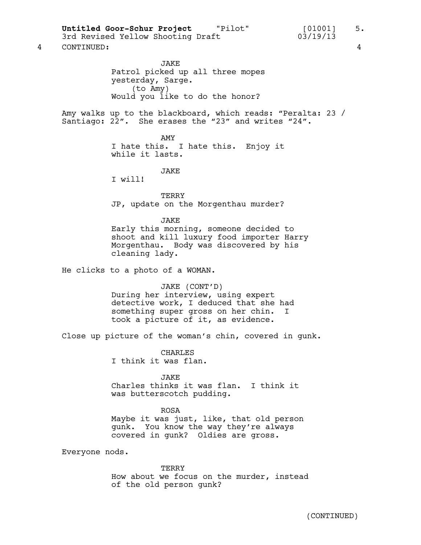3rd Revised Yellow Shooting Draft

4 CONTINUED: 4

JAKE Patrol picked up all three mopes yesterday, Sarge. (to Amy) Would you like to do the honor?

Amy walks up to the blackboard, which reads: "Peralta: 23 / Santiago:  $2\overline{2}''$ . She erases the "23" and writes "24".

> AMY I hate this. I hate this. Enjoy it while it lasts.

> > JAKE

I will!

TERRY JP, update on the Morgenthau murder?

#### JAKE

Early this morning, someone decided to shoot and kill luxury food importer Harry Morgenthau. Body was discovered by his cleaning lady.

He clicks to a photo of a WOMAN.

#### JAKE (CONT'D)

During her interview, using expert detective work, I deduced that she had something super gross on her chin. I took a picture of it, as evidence.

Close up picture of the woman's chin, covered in gunk.

CHARLES I think it was flan.

JAKE Charles thinks it was flan. I think it was butterscotch pudding.

ROSA Maybe it was just, like, that old person gunk. You know the way they're always covered in gunk? Oldies are gross.

Everyone nods.

TERRY How about we focus on the murder, instead of the old person gunk?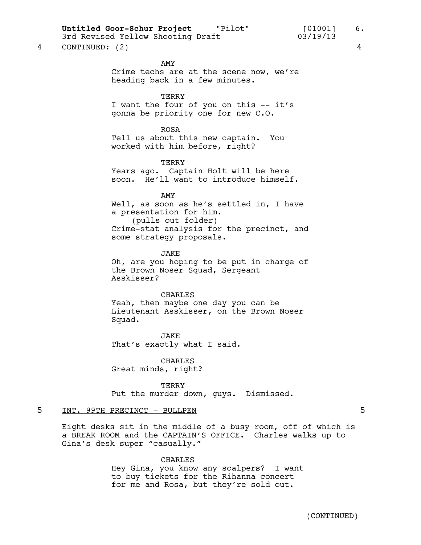# Untitled Goor-Schur Project **The Pilot"** [01001] 6.

3rd Revised Yellow Shooting Draft 03/19/13

4 CONTINUED: (2) 4

AMY

# Crime techs are at the scene now, we're heading back in a few minutes.

**TERRY** 

I want the four of you on this -- it's gonna be priority one for new C.O.

ROSA

Tell us about this new captain. You worked with him before, right?

TERRY

Years ago. Captain Holt will be here soon. He'll want to introduce himself.

AMY Well, as soon as he's settled in, I have a presentation for him. (pulls out folder) Crime-stat analysis for the precinct, and

some strategy proposals.

JAKE Oh, are you hoping to be put in charge of the Brown Noser Squad, Sergeant Asskisser?

#### CHARLES

Yeah, then maybe one day you can be Lieutenant Asskisser, on the Brown Noser Squad.

JAKE That's exactly what I said.

CHARLES Great minds, right?

**TERRY** Put the murder down, guys. Dismissed.

#### 5 INT. 99TH PRECINCT - BULLPEN 5

Eight desks sit in the middle of a busy room, off of which is a BREAK ROOM and the CAPTAIN'S OFFICE. Charles walks up to Gina's desk super "casually."

> CHARLES Hey Gina, you know any scalpers? I want to buy tickets for the Rihanna concert for me and Rosa, but they're sold out.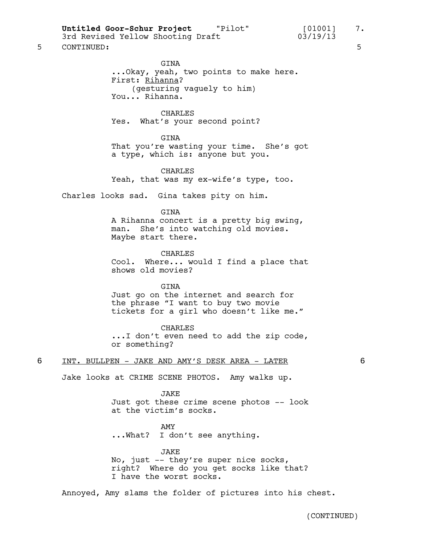Untitled Goor-Schur Project "Pilot" [01001] 7.<br>3rd Revised Yellow Shooting Draft 03/19/13

3rd Revised Yellow Shooting Draft

# 5 CONTINUED: 5

GINA ...Okay, yeah, two points to make here. First: Rihanna? (gesturing vaguely to him) You... Rihanna.

CHARLES

Yes. What's your second point?

**GTNA** 

That you're wasting your time. She's got a type, which is: anyone but you.

CHARLES

Yeah, that was my ex-wife's type, too.

Charles looks sad. Gina takes pity on him.

GINA

A Rihanna concert is a pretty big swing, man. She's into watching old movies. Maybe start there.

CHARLES Cool. Where... would I find a place that shows old movies?

GINA Just go on the internet and search for the phrase "I want to buy two movie tickets for a girl who doesn't like me."

CHARLES

...I don't even need to add the zip code, or something?

6 INT. BULLPEN - JAKE AND AMY'S DESK AREA - LATER 6

Jake looks at CRIME SCENE PHOTOS. Amy walks up.

JAKE

Just got these crime scene photos -- look at the victim's socks.

AMY

...What? I don't see anything.

JAKE

No, just -- they're super nice socks, right? Where do you get socks like that? I have the worst socks.

Annoyed, Amy slams the folder of pictures into his chest.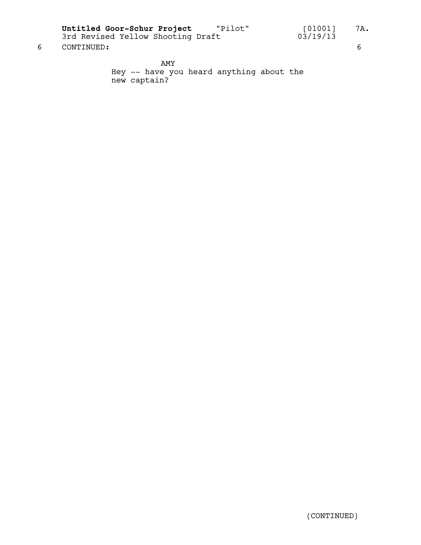**Untitled Goor-Schur Project** "Pilot" [01001] 7A.

6 CONTINUED: 6

AMY Hey -- have you heard anything about the new captain?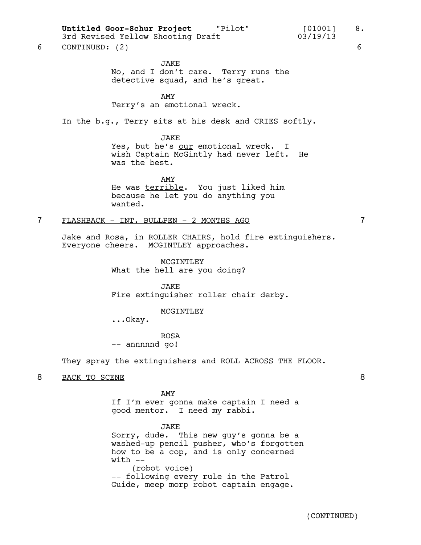Untitled Goor-Schur Project "Pilot" [01001] 8.

# 3rd Revised Yellow Shooting Draft 03/19/13

6 CONTINUED: (2) 6

JAKE No, and I don't care. Terry runs the detective squad, and he's great.

AMY

Terry's an emotional wreck.

In the b.g., Terry sits at his desk and CRIES softly.

JAKE

Yes, but he's our emotional wreck. I wish Captain McGintly had never left. He was the best.

AMY He was terrible. You just liked him because he let you do anything you wanted.

#### 7 FLASHBACK - INT. BULLPEN - 2 MONTHS AGO 7

Jake and Rosa, in ROLLER CHAIRS, hold fire extinguishers. Everyone cheers. MCGINTLEY approaches.

> MCGINTLEY What the hell are you doing?

JAKE Fire extinguisher roller chair derby.

#### MCGINTLEY

...Okay.

ROSA -- annnnnd go!

They spray the extinguishers and ROLL ACROSS THE FLOOR.

8 BACK TO SCENE 8

AMY

If I'm ever gonna make captain I need a good mentor. I need my rabbi.

JAKE Sorry, dude. This new guy's gonna be a washed-up pencil pusher, who's forgotten how to be a cop, and is only concerned  $with - -$ (robot voice) -- following every rule in the Patrol Guide, meep morp robot captain engage.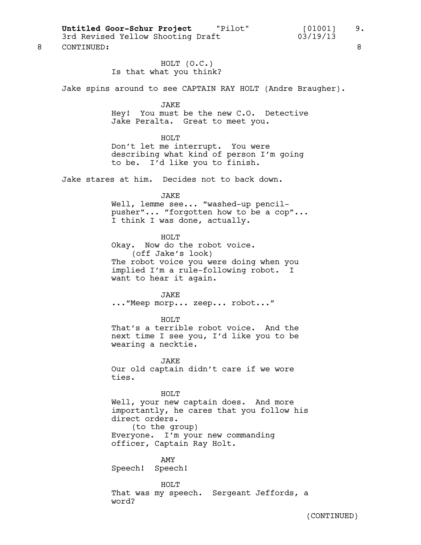Untitled Goor-Schur Project "Pilot" [01001] 9.<br>3rd Revised Yellow Shooting Draft 03/19/13

3rd Revised Yellow Shooting Draft

HOLT (O.C.) Is that what you think? Jake spins around to see CAPTAIN RAY HOLT (Andre Braugher). JAKE Hey! You must be the new C.O. Detective Jake Peralta. Great to meet you. HOLT Don't let me interrupt. You were describing what kind of person I'm going to be. I'd like you to finish. Jake stares at him. Decides not to back down. JAKE Well, lemme see... "washed-up pencilpusher"... "forgotten how to be a cop"... I think I was done, actually. HOLT Okay. Now do the robot voice. (off Jake's look) The robot voice you were doing when you implied I'm a rule-following robot. I want to hear it again. JAKE ..."Meep morp... zeep... robot..." HOT T That's a terrible robot voice. And the next time I see you, I'd like you to be wearing a necktie. JAKE Our old captain didn't care if we wore ties. HOLT Well, your new captain does. And more importantly, he cares that you follow his direct orders. (to the group) Everyone. I'm your new commanding officer, Captain Ray Holt. AMY Speech! Speech! HOLT That was my speech. Sergeant Jeffords, a word?

8 CONTINUED: 8

(CONTINUED)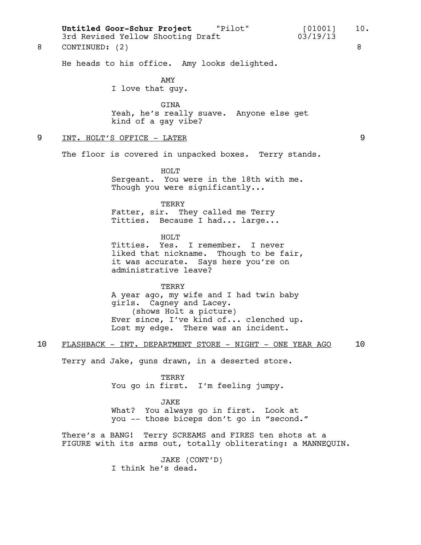He heads to his office. Amy looks delighted. AMY I love that guy. GINA Yeah, he's really suave. Anyone else get kind of a gay vibe? 9 INT. HOLT'S OFFICE - LATER 9 The floor is covered in unpacked boxes. Terry stands. HOLT Sergeant. You were in the 18th with me. Though you were significantly... TERRY Fatter, sir. They called me Terry Titties. Because I had... large... HOLT Titties. Yes. I remember. I never liked that nickname. Though to be fair, it was accurate. Says here you're on administrative leave? **TERRY** A year ago, my wife and I had twin baby girls. Cagney and Lacey. (shows Holt a picture) Ever since, I've kind of... clenched up. Lost my edge. There was an incident. 10 FLASHBACK - INT. DEPARTMENT STORE - NIGHT - ONE YEAR AGO 10 Terry and Jake, guns drawn, in a deserted store. TERRY You go in first. I'm feeling jumpy. JAKE What? You always go in first. Look at you -- those biceps don't go in "second." There's a BANG! Terry SCREAMS and FIRES ten shots at a FIGURE with its arms out, totally obliterating: a MANNEQUIN. Untitled Goor-Schur Project "Pilot" [01001] 10.<br>3rd Revised Yellow Shooting Draft 03/19/13 3rd Revised Yellow Shooting Draft 03/19/13 8 CONTINUED: (2) 8

> JAKE (CONT'D) I think he's dead.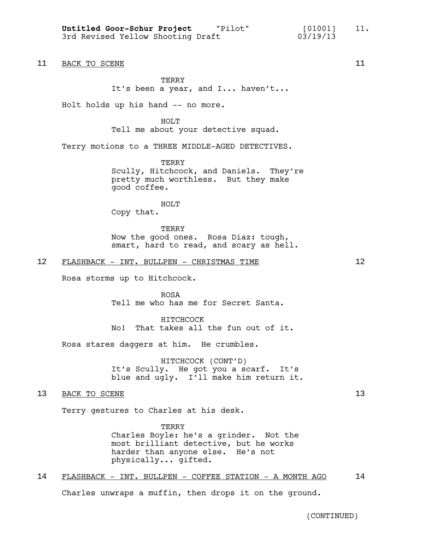Untitled Goor-Schur Project "Pilot" [01001] 11.<br>Collectional Valley Sheeting Draft (03/19/13) 3rd Revised Yellow Shooting Draft 03/19/13

11 BACK TO SCENE 11

**TERRY** It's been a year, and I... haven't...

Holt holds up his hand -- no more.

HOLT Tell me about your detective squad.

Terry motions to a THREE MIDDLE-AGED DETECTIVES.

**TERRY** Scully, Hitchcock, and Daniels. They're pretty much worthless. But they make good coffee.

HOLT Copy that.

**TERRY** Now the good ones. Rosa Diaz: tough, smart, hard to read, and scary as hell.

## 12 FLASHBACK - INT. BULLPEN - CHRISTMAS TIME 12

Rosa storms up to Hitchcock.

ROSA Tell me who has me for Secret Santa.

HITCHCOCK No! That takes all the fun out of it.

Rosa stares daggers at him. He crumbles.

HITCHCOCK (CONT'D) It's Scully. He got you a scarf. It's blue and ugly. I'll make him return it.

### 13 BACK TO SCENE 13

Terry gestures to Charles at his desk.

**TERRY** Charles Boyle: he's a grinder. Not the most brilliant detective, but he works harder than anyone else. He's not physically... gifted.

# 14 FLASHBACK - INT. BULLPEN - COFFEE STATION - A MONTH AGO 14

Charles unwraps a muffin, then drops it on the ground.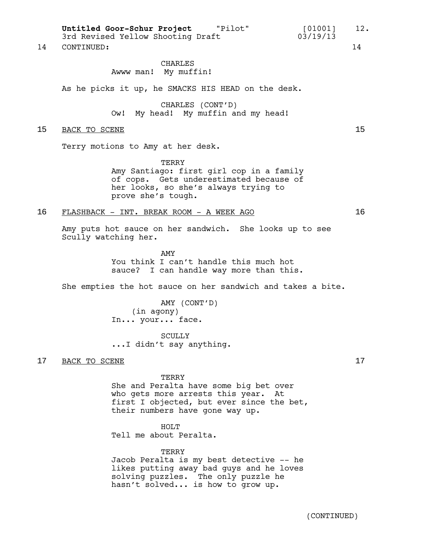Untitled Goor-Schur Project "Pilot" [01001] 12.<br>3rd Revised Yellow Shooting Draft 03/19/13 3rd Revised Yellow Shooting Draft

14 CONTINUED: 14

#### CHARLES Awww man! My muffin!

As he picks it up, he SMACKS HIS HEAD on the desk.

CHARLES (CONT'D) Ow! My head! My muffin and my head!

#### 15 BACK TO SCENE 15

Terry motions to Amy at her desk.

**TERRY** Amy Santiago: first girl cop in a family of cops. Gets underestimated because of her looks, so she's always trying to prove she's tough.

#### 16 FLASHBACK - INT. BREAK ROOM - A WEEK AGO 16

Amy puts hot sauce on her sandwich. She looks up to see Scully watching her.

> AMY You think I can't handle this much hot sauce? I can handle way more than this.

She empties the hot sauce on her sandwich and takes a bite.

AMY (CONT'D) (in agony) In... your... face.

SCULLY ...I didn't say anything.

### 17 BACK TO SCENE 17

TERRY

She and Peralta have some big bet over who gets more arrests this year. At first I objected, but ever since the bet, their numbers have gone way up.

HOLT Tell me about Peralta.

TERRY Jacob Peralta is my best detective -- he likes putting away bad guys and he loves solving puzzles. The only puzzle he hasn't solved... is how to grow up.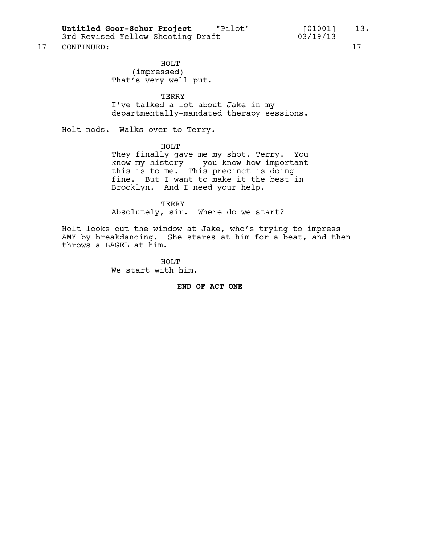**Untitled Goor-Schur Project** "Pilot" [01001] 13.

3rd Revised Yellow Shooting Draft 03/19/13

17 CONTINUED: 17

HOLT (impressed) That's very well put.

TERRY I've talked a lot about Jake in my departmentally-mandated therapy sessions.

Holt nods. Walks over to Terry.

HOLT

They finally gave me my shot, Terry. You know my history -- you know how important this is to me. This precinct is doing fine. But I want to make it the best in Brooklyn. And I need your help.

TERRY Absolutely, sir. Where do we start?

Holt looks out the window at Jake, who's trying to impress AMY by breakdancing. She stares at him for a beat, and then throws a BAGEL at him.

> HOLT We start with him.

> > **END OF ACT ONE**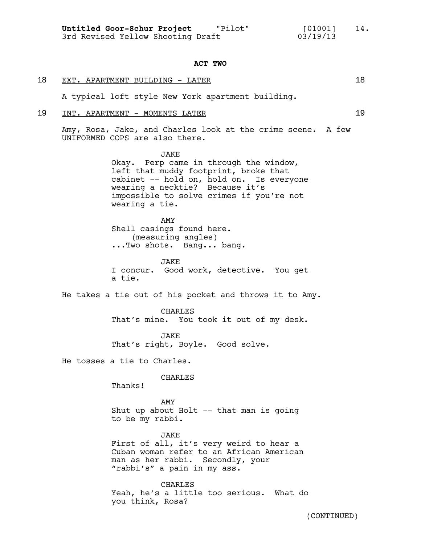#### **ACT TWO**

# 18 EXT. APARTMENT BUILDING - LATER 18

A typical loft style New York apartment building.

### 19 INT. APARTMENT - MOMENTS LATER 19

Amy, Rosa, Jake, and Charles look at the crime scene. A few UNIFORMED COPS are also there.

> **JAKE** Okay. Perp came in through the window, left that muddy footprint, broke that cabinet -- hold on, hold on. Is everyone wearing a necktie? Because it's impossible to solve crimes if you're not wearing a tie.

AMY Shell casings found here. (measuring angles) ...Two shots. Bang... bang.

JAKE I concur. Good work, detective. You get a tie.

He takes a tie out of his pocket and throws it to Amy.

CHARLES That's mine. You took it out of my desk.

JAKE That's right, Boyle. Good solve.

He tosses a tie to Charles.

CHARLES

Thanks!

AMY Shut up about Holt -- that man is going to be my rabbi.

JAKE First of all, it's very weird to hear a Cuban woman refer to an African American man as her rabbi. Secondly, your "rabbi's" a pain in my ass.

CHARLES Yeah, he's a little too serious. What do you think, Rosa?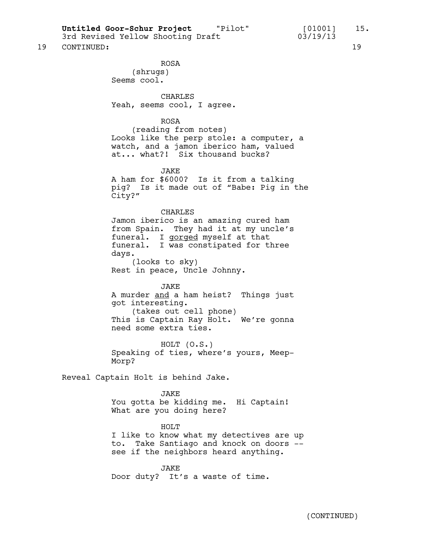**Untitled Goor-Schur Project** "Pilot" [01001] 15.

#### 19 CONTINUED: 19

ROSA (shrugs) Seems cool.

**CHARLES** Yeah, seems cool, I agree.

#### ROSA

(reading from notes) Looks like the perp stole: a computer, a watch, and a jamon iberico ham, valued at... what?! Six thousand bucks?

#### JAKE

A ham for \$6000? Is it from a talking pig? Is it made out of "Babe: Pig in the City?"

#### CHARLES

Jamon iberico is an amazing cured ham from Spain. They had it at my uncle's funeral. I gorged myself at that funeral. I was constipated for three days. (looks to sky)

Rest in peace, Uncle Johnny.

#### JAKE

A murder and a ham heist? Things just got interesting. (takes out cell phone) This is Captain Ray Holt. We're gonna need some extra ties.

HOLT (O.S.) Speaking of ties, where's yours, Meep-Morp?

Reveal Captain Holt is behind Jake.

#### JAKE

You gotta be kidding me. Hi Captain! What are you doing here?

#### HOLT

I like to know what my detectives are up to. Take Santiago and knock on doors - see if the neighbors heard anything.

JAKE Door duty? It's a waste of time.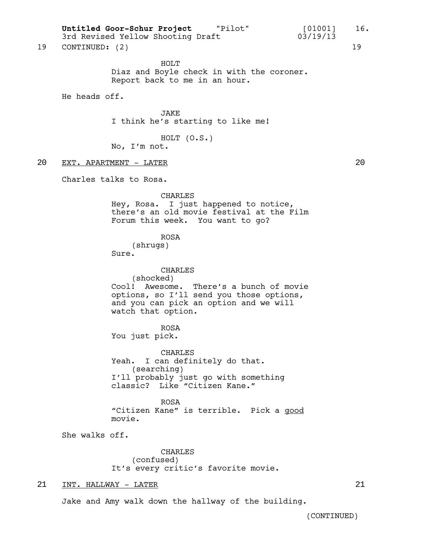Untitled Goor-Schur Project "Pilot" [01001] 16. 3rd Revised Yellow Shooting Draft 03/19/13

19 CONTINUED: (2) 19

HOLT Diaz and Boyle check in with the coroner. Report back to me in an hour.

He heads off.

JAKE I think he's starting to like me!

HOLT (O.S.)

No, I'm not.

20 EXT. APARTMENT - LATER

Charles talks to Rosa.

CHARLES Hey, Rosa. I just happened to notice, there's an old movie festival at the Film Forum this week. You want to go?

> ROSA (shrugs)

Sure.

CHARLES (shocked) Cool! Awesome. There's a bunch of movie options, so I'll send you those options, and you can pick an option and we will watch that option.

ROSA You just pick.

CHARLES Yeah. I can definitely do that. (searching) I'll probably just go with something classic? Like "Citizen Kane."

ROSA "Citizen Kane" is terrible. Pick a good movie.

She walks off.

CHARLES (confused) It's every critic's favorite movie.

21 INT. HALLWAY - LATER 21

Jake and Amy walk down the hallway of the building.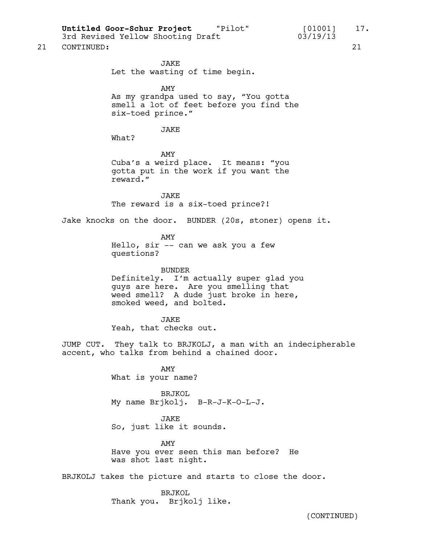Untitled Goor-Schur Project "Pilot" [01001] 17.<br>3rd Revised Yellow Shooting Draft [01001] 17.

3rd Revised Yellow Shooting Draft 03/19/13

21 CONTINUED: 21

JAKE Let the wasting of time begin.

AMY

As my grandpa used to say, "You gotta smell a lot of feet before you find the six-toed prince."

#### JAKE

What?

AMY Cuba's a weird place. It means: "you gotta put in the work if you want the reward."

JAKE The reward is a six-toed prince?!

Jake knocks on the door. BUNDER (20s, stoner) opens it.

AMY Hello, sir -- can we ask you a few questions?

BUNDER Definitely. I'm actually super glad you guys are here. Are you smelling that weed smell? A dude just broke in here, smoked weed, and bolted.

JAKE Yeah, that checks out.

JUMP CUT. They talk to BRJKOLJ, a man with an indecipherable accent, who talks from behind a chained door.

> AMY What is your name?

BRJKOL My name Brjkolj. B-R-J-K-O-L-J.

JAKE So, just like it sounds.

AMY Have you ever seen this man before? He was shot last night.

BRJKOLJ takes the picture and starts to close the door.

BRJKOL Thank you. Brjkolj like.

(CONTINUED)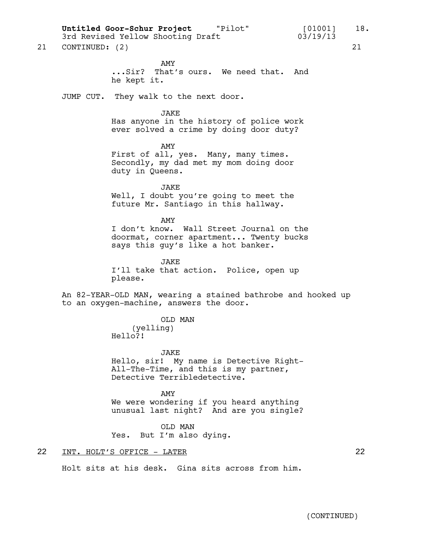**Untitled Goor-Schur Project** "Pilot" [01001] 18.

3rd Revised Yellow Shooting Draft 03/19/13

21 CONTINUED: (2) 21

AMY ...Sir? That's ours. We need that. And he kept it.

JUMP CUT. They walk to the next door.

JAKE

Has anyone in the history of police work ever solved a crime by doing door duty?

AMY First of all, yes. Many, many times. Secondly, my dad met my mom doing door duty in Queens.

JAKE Well, I doubt you're going to meet the future Mr. Santiago in this hallway.

AMY I don't know. Wall Street Journal on the doormat, corner apartment... Twenty bucks says this guy's like a hot banker.

JAKE I'll take that action. Police, open up please.

An 82-YEAR-OLD MAN, wearing a stained bathrobe and hooked up to an oxygen-machine, answers the door.

### OLD MAN

(yelling) Hello?!

JAKE

Hello, sir! My name is Detective Right-All-The-Time, and this is my partner, Detective Terribledetective.

AMY We were wondering if you heard anything unusual last night? And are you single?

OLD MAN Yes. But I'm also dying.

Holt sits at his desk. Gina sits across from him.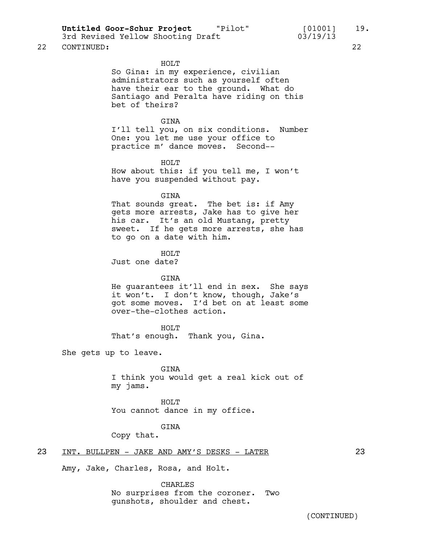Untitled Goor-Schur Project "Pilot" [01001] 19.<br>3rd Revised Yellow Shooting Draft [03/19/13]

3rd Revised Yellow Shooting Draft 03/19/13

#### 22 CONTINUED: 22

#### HOLT

So Gina: in my experience, civilian administrators such as yourself often have their ear to the ground. What do Santiago and Peralta have riding on this bet of theirs?

#### GINA

I'll tell you, on six conditions. Number One: you let me use your office to practice m' dance moves. Second--

#### HOLT

How about this: if you tell me, I won't have you suspended without pay.

#### GINA

That sounds great. The bet is: if Amy gets more arrests, Jake has to give her his car. It's an old Mustang, pretty sweet. If he gets more arrests, she has to go on a date with him.

HOLT Just one date?

#### GINA

He guarantees it'll end in sex. She says it won't. I don't know, though, Jake's got some moves. I'd bet on at least some over-the-clothes action.

HOLT<sub>T</sub> That's enough. Thank you, Gina.

She gets up to leave.

GINA I think you would get a real kick out of my jams.

HOLT You cannot dance in my office.

#### GINA

Copy that.

#### 23 INT. BULLPEN - JAKE AND AMY'S DESKS - LATER 23

Amy, Jake, Charles, Rosa, and Holt.

CHARLES

No surprises from the coroner. Two gunshots, shoulder and chest.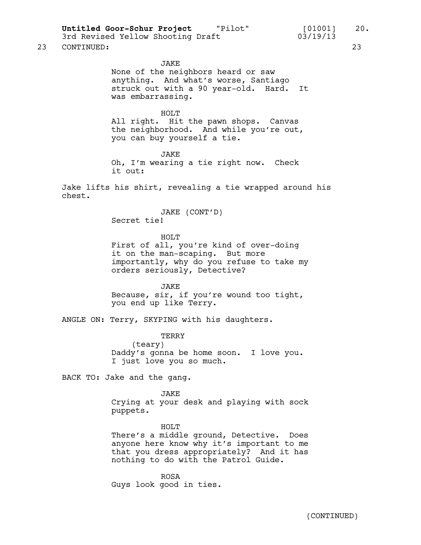**Untitled Goor-Schur Project** "Pilot" [01001] 20.

3rd Revised Yellow Shooting Draft 03/19/13

23 CONTINUED: 23

#### JAKE

None of the neighbors heard or saw anything. And what's worse, Santiago struck out with a 90 year-old. Hard. It was embarrassing.

#### HOLT

All right. Hit the pawn shops. Canvas the neighborhood. And while you're out, you can buy yourself a tie.

JAKE

Oh, I'm wearing a tie right now. Check it out:

Jake lifts his shirt, revealing a tie wrapped around his chest.

> JAKE (CONT'D) Secret tie!

> > HOLT<sub>T</sub>

First of all, you're kind of over-doing it on the man-scaping. But more importantly, why do you refuse to take my orders seriously, Detective?

JAKE Because, sir, if you're wound too tight, you end up like Terry.

ANGLE ON: Terry, SKYPING with his daughters.

TERRY (teary) Daddy's gonna be home soon. I love you. I just love you so much.

BACK TO: Jake and the gang.

JAKE Crying at your desk and playing with sock puppets.

HOLT

There's a middle ground, Detective. Does anyone here know why it's important to me that you dress appropriately? And it has nothing to do with the Patrol Guide.

ROSA Guys look good in ties.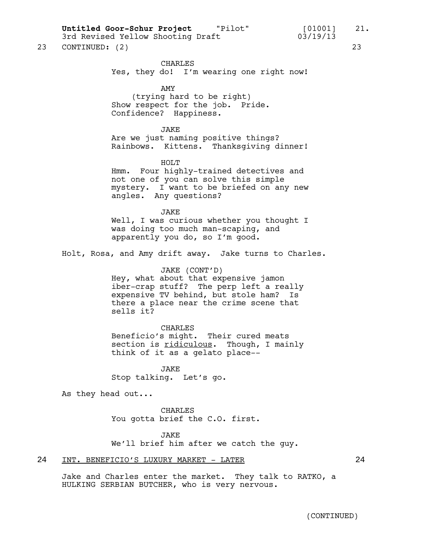**Untitled Goor-Schur Project** "Pilot" [01001] 21.

3rd Revised Yellow Shooting Draft 03/19/13

23 CONTINUED: (2) 23

CHARLES

Yes, they do! I'm wearing one right now!

#### AMY

(trying hard to be right) Show respect for the job. Pride. Confidence? Happiness.

#### JAKE

Are we just naming positive things? Rainbows. Kittens. Thanksgiving dinner!

HOLT

Hmm. Four highly-trained detectives and not one of you can solve this simple mystery. I want to be briefed on any new angles. Any questions?

#### JAKE

Well, I was curious whether you thought I was doing too much man-scaping, and apparently you do, so I'm good.

Holt, Rosa, and Amy drift away. Jake turns to Charles.

#### JAKE (CONT'D)

Hey, what about that expensive jamon iber-crap stuff? The perp left a really expensive TV behind, but stole ham? Is there a place near the crime scene that sells it?

#### CHARLES

Beneficio's might. Their cured meats section is ridiculous. Though, I mainly think of it as a gelato place--

JAKE Stop talking. Let's go.

As they head out...

CHARLES You gotta brief the C.O. first.

#### JAKE

We'll brief him after we catch the guy.

#### 24 INT. BENEFICIO'S LUXURY MARKET - LATER 24

Jake and Charles enter the market. They talk to RATKO, a HULKING SERBIAN BUTCHER, who is very nervous.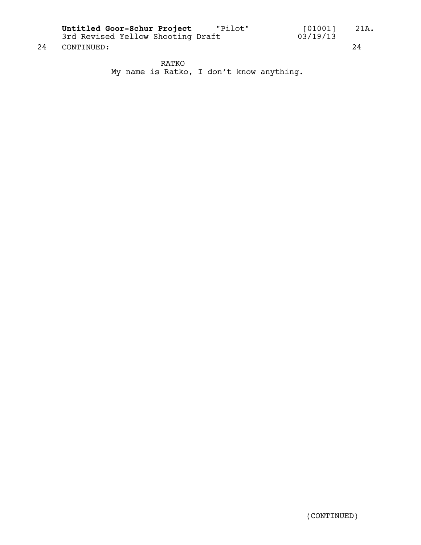**Untitled Goor-Schur Project** "Pilot" [01001] 21A.

24 CONTINUED: 24

3rd Revised Yellow Shooting Draft 03/19/13

RATKO My name is Ratko, I don't know anything.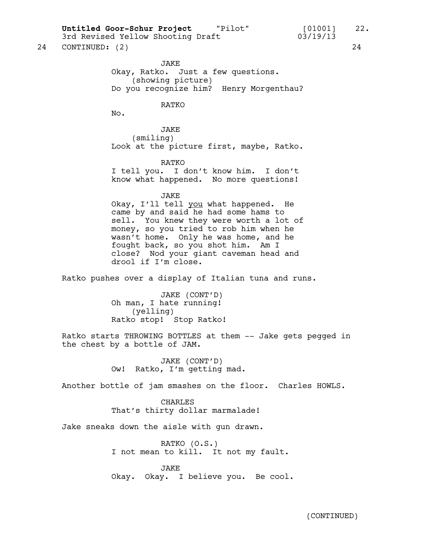**Untitled Goor-Schur Project** "Pilot" [01001] 22.

3rd Revised Yellow Shooting Draft 03/19/13

24 CONTINUED: (2) 24

JAKE Okay, Ratko. Just a few questions. (showing picture) Do you recognize him? Henry Morgenthau?

RATKO

No.

JAKE (smiling) Look at the picture first, maybe, Ratko.

RATKO I tell you. I don't know him. I don't know what happened. No more questions!

JAKE Okay, I'll tell you what happened. He came by and said he had some hams to sell. You knew they were worth a lot of money, so you tried to rob him when he wasn't home. Only he was home, and he fought back, so you shot him. Am I close? Nod your giant caveman head and drool if I'm close.

Ratko pushes over a display of Italian tuna and runs.

JAKE (CONT'D) Oh man, I hate running! (yelling) Ratko stop! Stop Ratko!

Ratko starts THROWING BOTTLES at them -- Jake gets pegged in the chest by a bottle of JAM.

> JAKE (CONT'D) Ow! Ratko, I'm getting mad.

Another bottle of jam smashes on the floor. Charles HOWLS.

CHARLES That's thirty dollar marmalade!

Jake sneaks down the aisle with gun drawn.

RATKO (O.S.) I not mean to kill. It not my fault.

JAKE Okay. Okay. I believe you. Be cool.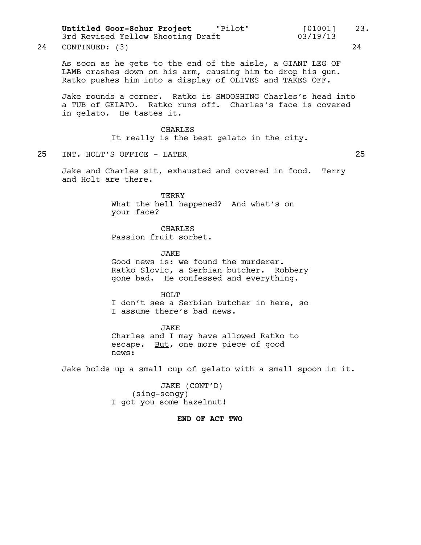As soon as he gets to the end of the aisle, a GIANT LEG OF LAMB crashes down on his arm, causing him to drop his gun. Ratko pushes him into a display of OLIVES and TAKES OFF. Jake rounds a corner. Ratko is SMOOSHING Charles's head into a TUB of GELATO. Ratko runs off. Charles's face is covered in gelato. He tastes it. CHARLES It really is the best gelato in the city. 25 INT. HOLT'S OFFICE - LATER 25 Jake and Charles sit, exhausted and covered in food. Terry and Holt are there. TERRY What the hell happened? And what's on your face? CHARLES Passion fruit sorbet. JAKE Good news is: we found the murderer. Ratko Slovic, a Serbian butcher. Robbery gone bad. He confessed and everything. HOLT I don't see a Serbian butcher in here, so I assume there's bad news. JAKE Charles and I may have allowed Ratko to escape. But, one more piece of good news: **Untitled Goor-Schur Project** "Pilot" [01001] 23. 3rd Revised Yellow Shooting Draft 03/19/13 24 CONTINUED: (3) 24

Jake holds up a small cup of gelato with a small spoon in it.

JAKE (CONT'D) (sing-songy) I got you some hazelnut!

#### **END OF ACT TWO**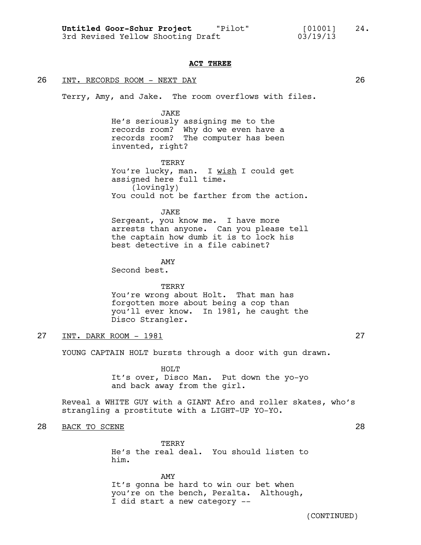#### **ACT THREE**

#### 26 INT. RECORDS ROOM - NEXT DAY 26

Terry, Amy, and Jake. The room overflows with files.

#### JAKE

He's seriously assigning me to the records room? Why do we even have a records room? The computer has been invented, right?

TERRY You're lucky, man. I wish I could get assigned here full time. (lovingly) You could not be farther from the action.

#### JAKE

Sergeant, you know me. I have more arrests than anyone. Can you please tell the captain how dumb it is to lock his best detective in a file cabinet?

AMY Second best.

### **TERRY** You're wrong about Holt. That man has forgotten more about being a cop than you'll ever know. In 1981, he caught the Disco Strangler.

#### 27 INT. DARK ROOM - 1981 27

YOUNG CAPTAIN HOLT bursts through a door with gun drawn.

HOLT<sub>T</sub> It's over, Disco Man. Put down the yo-yo and back away from the girl.

Reveal a WHITE GUY with a GIANT Afro and roller skates, who's strangling a prostitute with a LIGHT-UP YO-YO.

#### 28 BACK TO SCENE 28

TERRY He's the real deal. You should listen to him.

#### AMY

It's gonna be hard to win our bet when you're on the bench, Peralta. Although, I did start a new category --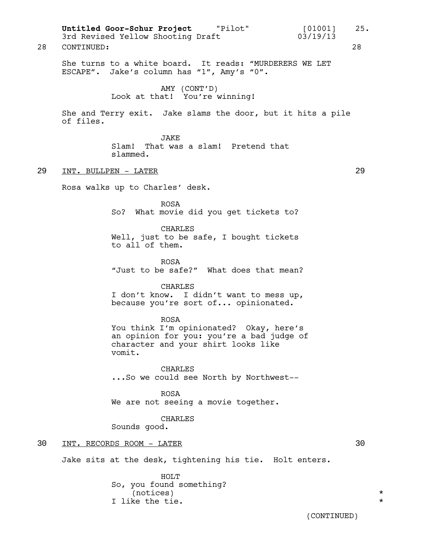She turns to a white board. It reads: "MURDERERS WE LET ESCAPE". Jake's column has "1", Amy's "0". AMY (CONT'D) Look at that! You're winning! She and Terry exit. Jake slams the door, but it hits a pile of files. JAKE Slam! That was a slam! Pretend that slammed. 29 INT. BULLPEN - LATER 29 Rosa walks up to Charles' desk. ROSA So? What movie did you get tickets to? CHARLES Well, just to be safe, I bought tickets to all of them. ROSA "Just to be safe?" What does that mean? CHARLES I don't know. I didn't want to mess up, because you're sort of... opinionated. ROSA You think I'm opinionated? Okay, here's an opinion for you: you're a bad judge of character and your shirt looks like vomit. CHARLES ...So we could see North by Northwest-- ROSA We are not seeing a movie together. CHARLES Sounds good. 30 INT. RECORDS ROOM - LATER 30 Jake sits at the desk, tightening his tie. Holt enters. HOLT So, you found something? (notices) \* I like the tie.  $\star$ Untitled Goor-Schur Project "Pilot" [01001] 25. 3rd Revised Yellow Shooting Draft 03/19/13 28 CONTINUED: 28

(CONTINUED)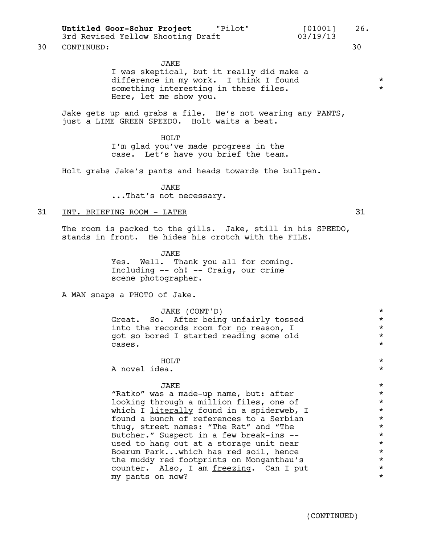30 CONTINUED: 30

#### JAKE

I was skeptical, but it really did make a difference in my work. I think I found<br>something interesting in these files something interesting in these files. Here, let me show you.

Jake gets up and grabs a file. He's not wearing any PANTS, just a LIME GREEN SPEEDO. Holt waits a beat.

> HOLT<sub>U</sub> I'm glad you've made progress in the case. Let's have you brief the team.

Holt grabs Jake's pants and heads towards the bullpen.

JAKE ...That's not necessary.

#### 31 INT. BRIEFING ROOM - LATER 31

The room is packed to the gills. Jake, still in his SPEEDO, stands in front. He hides his crotch with the FILE.

> JAKE Yes. Well. Thank you all for coming. Including -- oh! -- Craig, our crime scene photographer.

A MAN snaps a PHOTO of Jake.

JAKE (CONT'D) \* Great. So. After being unfairly tossed \* into the records room for <u>no</u> reason, I  $*$ got so bored I started reading some old \* \* \* \* \* \* \* \* \* \*  $\alpha$ ses.  $\star$ 

HOLT  $\qquad \qquad \star$ A novel idea. \*

### $JAKE$

"Ratko" was a made-up name, but: after \* looking through a million files, one of  $*$ which  $\overline{I}$  literally found in a spiderweb,  $I$  \* found a bunch of references to a Serbian  $*$ thug, street names: "The Rat" and "The  $\star$ <br>Butcher." Suspect in a few break-ins --Butcher." Suspect in a few break-ins --<br>used to hang out at a storage unit near \*\* used to hang out at a storage unit near  $*$ <br>Boerum Park...which has red soil. hence  $*$ Boerum Park...which has red soil, hence  $\star$ <br>the muddy red footprints on Monganthau's the muddy red footprints on Monganthau's  $\star$ <br>counter, Also, I am freezing, Can I put counter. Also, I am  $\frac{freezing}{cm}$ . Can I put  $*$   $*$   $*$ my pants on now? \*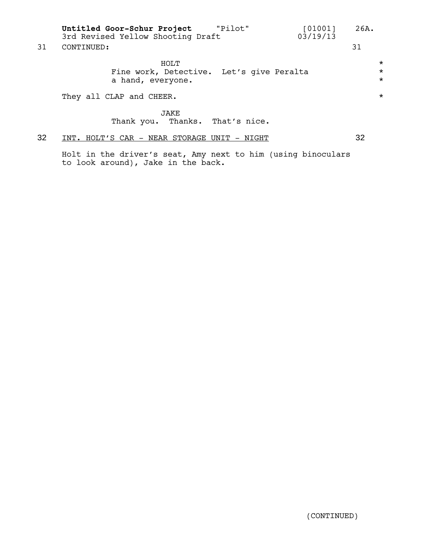|    | "Pilot"<br>Untitled Goor-Schur Project<br>[01001]<br>03/19/13<br>3rd Revised Yellow Shooting Draft | 26A.                           |  |
|----|----------------------------------------------------------------------------------------------------|--------------------------------|--|
| 31 | CONTINUED:                                                                                         | 31                             |  |
|    | HOLT<br>Fine work, Detective. Let's give Peralta<br>a hand, everyone.                              | $^\star$<br>$\star$<br>$\star$ |  |
|    | They all CLAP and CHEER.                                                                           | $\star$                        |  |
|    | <b>JAKE</b><br>Thank you. Thanks. That's nice.                                                     |                                |  |
| 32 | INT. HOLT'S CAR - NEAR STORAGE UNIT - NIGHT                                                        | 32                             |  |

Holt in the driver's seat, Amy next to him (using binoculars to look around), Jake in the back.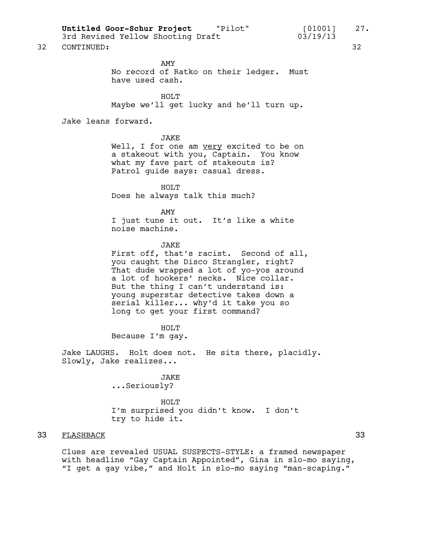Untitled Goor-Schur Project "Pilot" [01001] 27.<br>3rd Revised Yellow Shooting Draft 03/19/13

3rd Revised Yellow Shooting Draft

32 CONTINUED: 32

AMY No record of Ratko on their ledger. Must have used cash.

HOLT<sub>U</sub> Maybe we'll get lucky and he'll turn up.

Jake leans forward.

**JAKE** 

Well, I for one am very excited to be on a stakeout with you, Captain. You know what my fave part of stakeouts is? Patrol guide says: casual dress.

HOLT Does he always talk this much?

AMY I just tune it out. It's like a white noise machine.

#### JAKE

First off, that's racist. Second of all, you caught the Disco Strangler, right? That dude wrapped a lot of yo-yos around a lot of hookers' necks. Nice collar. But the thing I can't understand is: young superstar detective takes down a serial killer... why'd it take you so long to get your first command?

HOLT Because I'm gay.

Jake LAUGHS. Holt does not. He sits there, placidly. Slowly, Jake realizes...

> JAKE ...Seriously?

HOLT I'm surprised you didn't know. I don't try to hide it.

## 33 FLASHBACK 33

Clues are revealed USUAL SUSPECTS-STYLE: a framed newspaper with headline "Gay Captain Appointed", Gina in slo-mo saying, "I get a gay vibe," and Holt in slo-mo saying "man-scaping."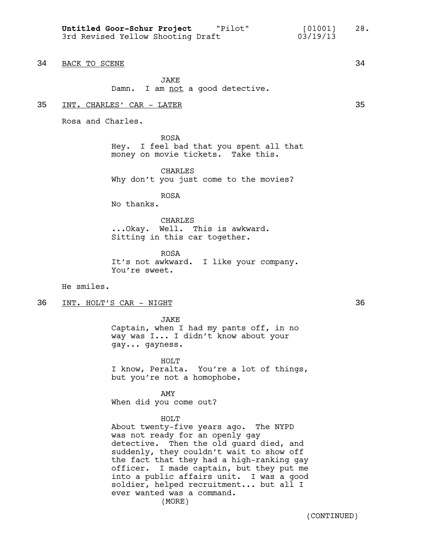34 BACK TO SCENE 34

JAKE Damn. I am not a good detective.

#### 35 INT. CHARLES' CAR - LATER 35

Rosa and Charles.

ROSA Hey. I feel bad that you spent all that money on movie tickets. Take this.

CHARLES Why don't you just come to the movies?

ROSA

No thanks.

CHARLES ...Okay. Well. This is awkward. Sitting in this car together.

ROSA It's not awkward. I like your company. You're sweet.

He smiles.

36 INT. HOLT'S CAR - NIGHT 36

JAKE

Captain, when I had my pants off, in no way was I... I didn't know about your gay... gayness.

HOLT I know, Peralta. You're a lot of things, but you're not a homophobe.

AMY When did you come out?

#### HOLT

About twenty-five years ago. The NYPD was not ready for an openly gay detective. Then the old guard died, and suddenly, they couldn't wait to show off the fact that they had a high-ranking gay officer. I made captain, but they put me into a public affairs unit. I was a good soldier, helped recruitment... but all I ever wanted was a command. (MORE)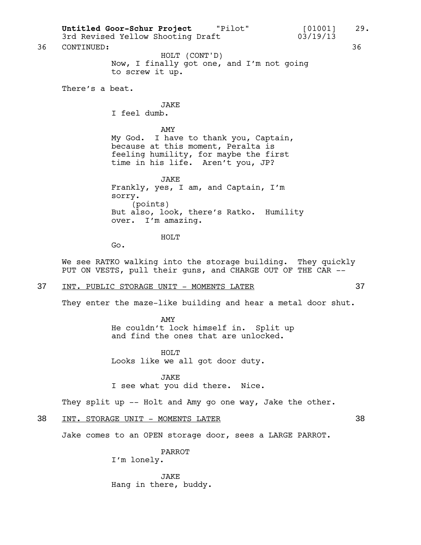Now, I finally got one, and I'm not going to screw it up. There's a beat. JAKE I feel dumb. AMY My God. I have to thank you, Captain, because at this moment, Peralta is feeling humility, for maybe the first time in his life. Aren't you, JP? JAKE Frankly, yes, I am, and Captain, I'm sorry. (points) But also, look, there's Ratko. Humility over. I'm amazing. HOLT Go. We see RATKO walking into the storage building. They quickly PUT ON VESTS, pull their guns, and CHARGE OUT OF THE CAR -- 37 INT. PUBLIC STORAGE UNIT - MOMENTS LATER 37 They enter the maze-like building and hear a metal door shut. AMY He couldn't lock himself in. Split up and find the ones that are unlocked. HOLT Looks like we all got door duty. JAKE I see what you did there. Nice. They split up -- Holt and Amy go one way, Jake the other. 38 INT. STORAGE UNIT - MOMENTS LATER 38 Jake comes to an OPEN storage door, sees a LARGE PARROT. PARROT I'm lonely. Untitled Goor-Schur Project **"Pilot"** [01001] 29. 3rd Revised Yellow Shooting Draft 03/19/13 36 CONTINUED: 36 HOLT (CONT'D)

> JAKE Hang in there, buddy.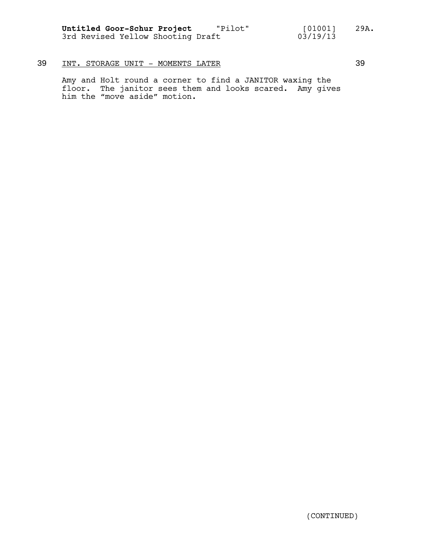**Untitled Goor-Schur Project** "Pilot" [01001] 29A. 3rd Revised Yellow Shooting Draft 03/19/13

## 39 INT. STORAGE UNIT - MOMENTS LATER 39

Amy and Holt round a corner to find a JANITOR waxing the floor. The janitor sees them and looks scared. Amy gives him the "move aside" motion.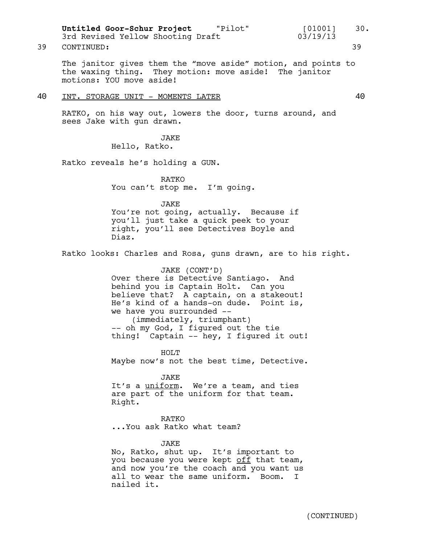39 CONTINUED: 39

The janitor gives them the "move aside" motion, and points to the waxing thing. They motion: move aside! The janitor motions: YOU move aside!

#### 40 INT. STORAGE UNIT - MOMENTS LATER 40

RATKO, on his way out, lowers the door, turns around, and sees Jake with gun drawn.

> JAKE Hello, Ratko.

Ratko reveals he's holding a GUN.

RATKO You can't stop me. I'm going.

### JAKE

You're not going, actually. Because if you'll just take a quick peek to your right, you'll see Detectives Boyle and Diaz.

Ratko looks: Charles and Rosa, guns drawn, are to his right.

#### JAKE (CONT'D)

Over there is Detective Santiago. And behind you is Captain Holt. Can you believe that? A captain, on a stakeout! He's kind of a hands-on dude. Point is, we have you surrounded -- (immediately, triumphant) -- oh my God, I figured out the tie

thing! Captain -- hey, I figured it out!

HOLT Maybe now's not the best time, Detective.

JAKE It's a uniform. We're a team, and ties are part of the uniform for that team. Right.

RATKO ...You ask Ratko what team?

#### JAKE

No, Ratko, shut up. It's important to you because you were kept off that team, and now you're the coach and you want us all to wear the same uniform. Boom. I nailed it.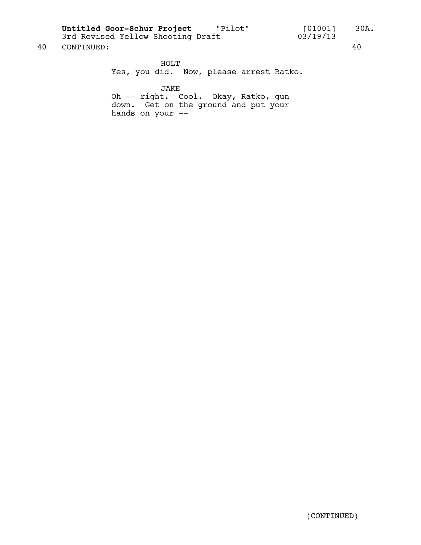**Untitled Goor-Schur Project** "Pilot" [01001] 30A.

40 CONTINUED: 40

HOLT Yes, you did. Now, please arrest Ratko.

JAKE

Oh -- right. Cool. Okay, Ratko, gun down. Get on the ground and put your hands on your --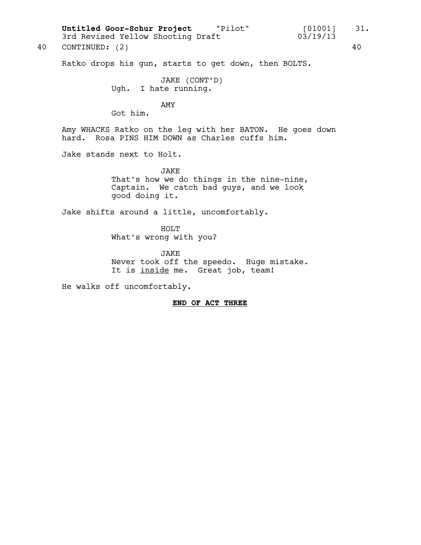Ratko drops his gun, starts to get down, then BOLTS.

JAKE (CONT'D) Ugh. I hate running.

AMY

Got him.

Amy WHACKS Ratko on the leg with her BATON. He goes down hard. Rosa PINS HIM DOWN as Charles cuffs him.

Jake stands next to Holt.

JAKE That's how we do things in the nine-nine, Captain. We catch bad guys, and we look good doing it.

Jake shifts around a little, uncomfortably.

HOLT What's wrong with you?

JAKE Never took off the speedo. Huge mistake. It is inside me. Great job, team!

He walks off uncomfortably.

#### **END OF ACT THREE**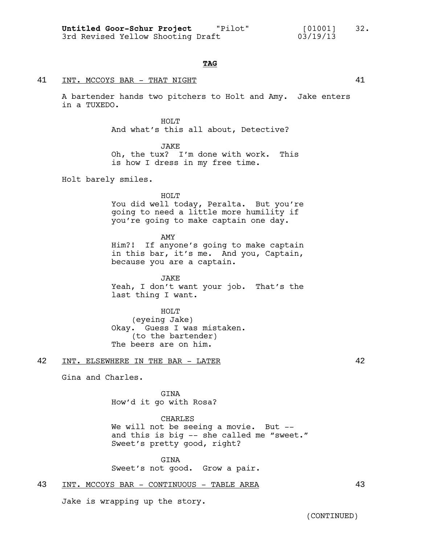#### **TAG**

#### 41 INT. MCCOYS BAR - THAT NIGHT 41

A bartender hands two pitchers to Holt and Amy. Jake enters in a TUXEDO.

> HOLT And what's this all about, Detective?

JAKE Oh, the tux? I'm done with work. This

is how I dress in my free time.

Holt barely smiles.

HOLT

You did well today, Peralta. But you're going to need a little more humility if you're going to make captain one day.

AMY

Him?! If anyone's going to make captain in this bar, it's me. And you, Captain, because you are a captain.

**JAKE** Yeah, I don't want your job. That's the last thing I want.

HOLT (eyeing Jake) Okay. Guess I was mistaken. (to the bartender) The beers are on him.

### 42 INT. ELSEWHERE IN THE BAR - LATER 42

Gina and Charles.

GINA How'd it go with Rosa?

CHARLES We will not be seeing a movie. But -and this is big -- she called me "sweet." Sweet's pretty good, right?

GINA Sweet's not good. Grow a pair.

#### 43 INT. MCCOYS BAR - CONTINUOUS - TABLE AREA

Jake is wrapping up the story.

(CONTINUED)